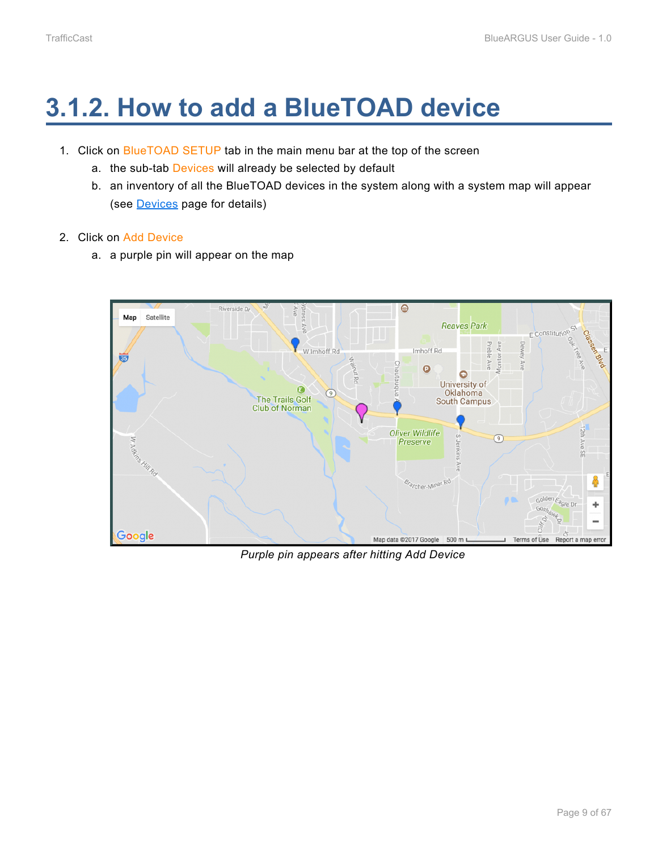## **3.1.2. How to add a BlueTOAD device**

- 1. Click on BlueTOAD SETUP tab in the main menu bar at the top of the screen
	- a. the sub-tab Devices will already be selected by default
	- b. an inventory of all the BlueTOAD devices in the system along with a system map will appear (see Devices page for details)
- 2. Click on Add Device
	- a. a purple pin will appear on the map



*Purple pin appears after hitting Add Device*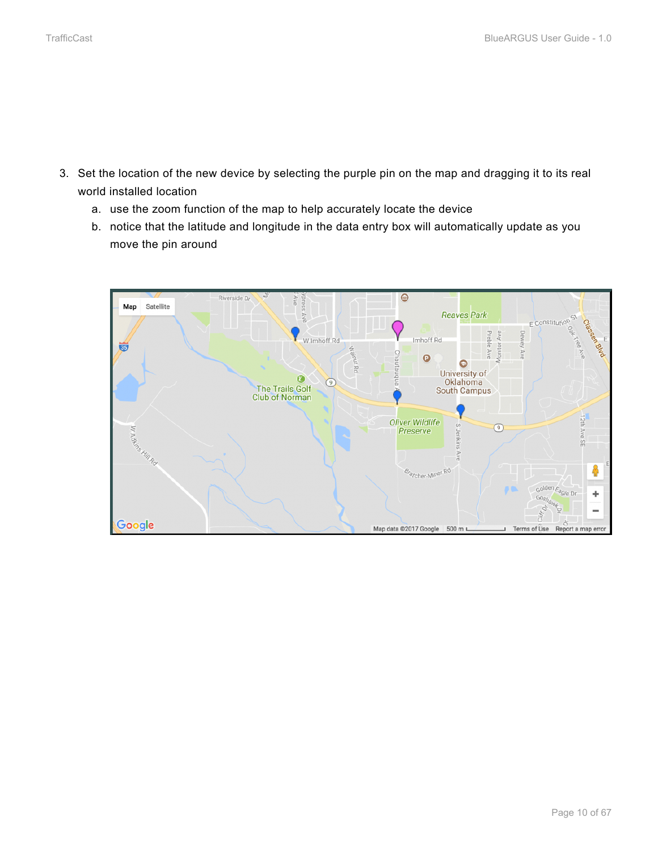- 3. Set the location of the new device by selecting the purple pin on the map and dragging it to its real world installed location
	- a. use the zoom function of the map to help accurately locate the device
	- b. notice that the latitude and longitude in the data entry box will automatically update as you move the pin around